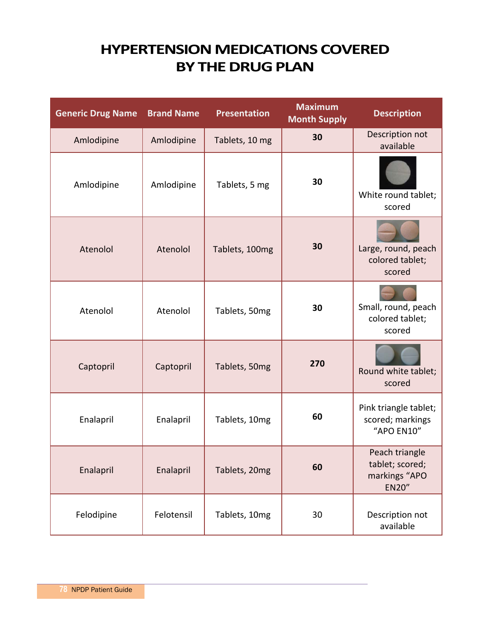## **HYPERTENSION MEDICATIONS COVERED BY THE DRUG PLAN**

| <b>Generic Drug Name</b> | <b>Brand Name</b> | <b>Presentation</b> | <b>Maximum</b><br><b>Month Supply</b> | <b>Description</b>                                                 |
|--------------------------|-------------------|---------------------|---------------------------------------|--------------------------------------------------------------------|
| Amlodipine               | Amlodipine        | Tablets, 10 mg      | 30                                    | Description not<br>available                                       |
| Amlodipine               | Amlodipine        | Tablets, 5 mg       | 30                                    | White round tablet;<br>scored                                      |
| Atenolol                 | Atenolol          | Tablets, 100mg      | 30                                    | Large, round, peach<br>colored tablet;<br>scored                   |
| Atenolol                 | Atenolol          | Tablets, 50mg       | 30                                    | Small, round, peach<br>colored tablet;<br>scored                   |
| Captopril                | Captopril         | Tablets, 50mg       | 270                                   | Round white tablet;<br>scored                                      |
| Enalapril                | Enalapril         | Tablets, 10mg       | 60                                    | Pink triangle tablet;<br>scored; markings<br>"APO EN10"            |
| Enalapril                | Enalapril         | Tablets, 20mg       | 60                                    | Peach triangle<br>tablet; scored;<br>markings "APO<br><b>EN20"</b> |
| Felodipine               | Felotensil        | Tablets, 10mg       | 30                                    | Description not<br>available                                       |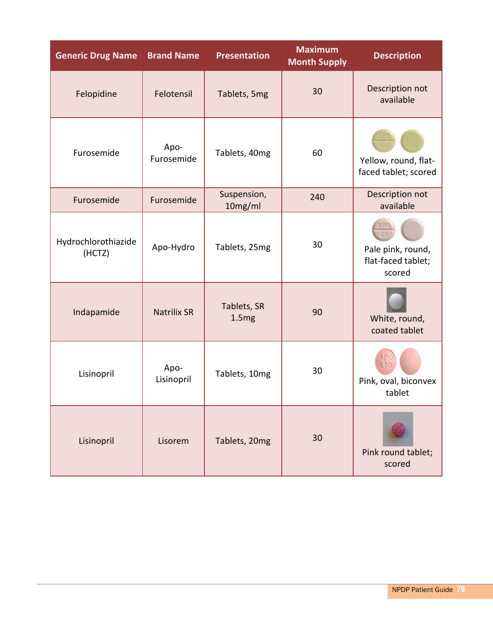| <b>Generic Drug Name</b>      | <b>Brand Name</b>  | <b>Presentation</b>    | <b>Maximum</b><br><b>Month Supply</b> | <b>Description</b>                                |
|-------------------------------|--------------------|------------------------|---------------------------------------|---------------------------------------------------|
| Felopidine                    | Felotensil         | Tablets, 5mg           | 30                                    | Description not<br>available                      |
| Furosemide                    | Apo-<br>Furosemide | Tablets, 40mg          | 60                                    | Yellow, round, flat-<br>faced tablet; scored      |
| Furosemide                    | Furosemide         | Suspension,<br>10mg/ml | 240                                   | Description not<br>available                      |
| Hydrochlorothiazide<br>(HCTZ) | Apo-Hydro          | Tablets, 25mg          | 30                                    | Pale pink, round,<br>flat-faced tablet;<br>scored |
| Indapamide                    | <b>Natrilix SR</b> | Tablets, SR<br>1.5mg   | 90                                    | White, round,<br>coated tablet                    |
| Lisinopril                    | Apo-<br>Lisinopril | Tablets, 10mg          | 30                                    | Pink, oval, biconvex<br>tablet                    |
| Lisinopril                    | Lisorem            | Tablets, 20mg          | 30                                    | Pink round tablet;<br>scored                      |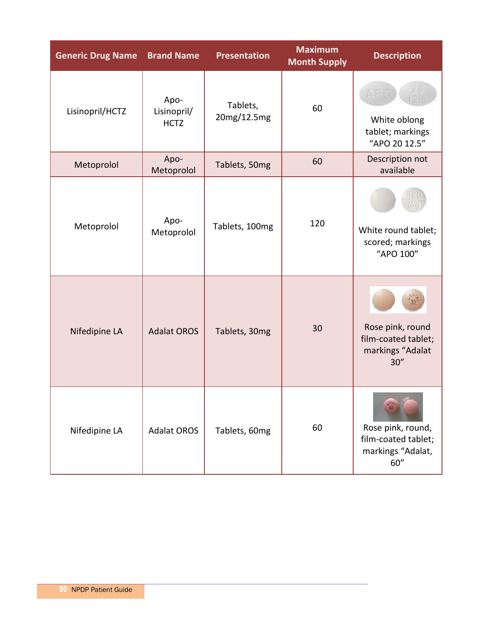| <b>Generic Drug Name</b> | <b>Brand Name</b>                  | <b>Presentation</b>     | <b>Maximum</b><br><b>Month Supply</b> | <b>Description</b>                                                    |
|--------------------------|------------------------------------|-------------------------|---------------------------------------|-----------------------------------------------------------------------|
| Lisinopril/HCTZ          | Apo-<br>Lisinopril/<br><b>HCTZ</b> | Tablets,<br>20mg/12.5mg | 60                                    | White oblong<br>tablet; markings<br>"APO 20 12.5"                     |
| Metoprolol               | Apo-<br>Metoprolol                 | Tablets, 50mg           | 60                                    | Description not<br>available                                          |
| Metoprolol               | Apo-<br>Metoprolol                 | Tablets, 100mg          | 120                                   | White round tablet;<br>scored; markings<br>"APO 100"                  |
| Nifedipine LA            | <b>Adalat OROS</b>                 | Tablets, 30mg           | 30                                    | Rose pink, round<br>film-coated tablet;<br>markings "Adalat<br>30''   |
| Nifedipine LA            | <b>Adalat OROS</b>                 | Tablets, 60mg           | 60                                    | Rose pink, round,<br>film-coated tablet;<br>markings "Adalat,<br>60'' |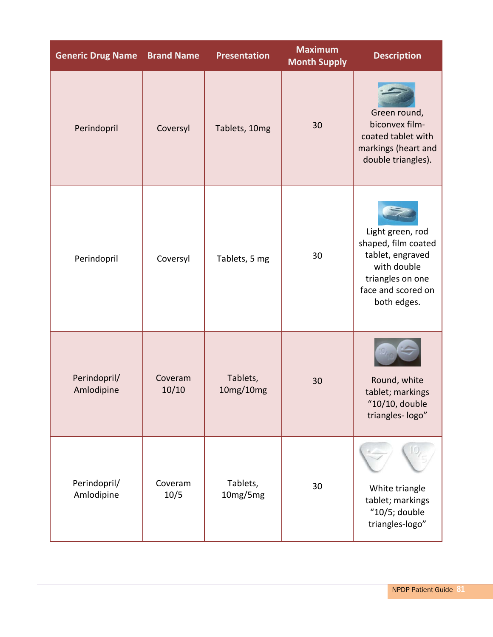| <b>Generic Drug Name</b>   | <b>Brand Name</b> | <b>Presentation</b>   | <b>Maximum</b><br><b>Month Supply</b> | <b>Description</b>                                                                                                                  |
|----------------------------|-------------------|-----------------------|---------------------------------------|-------------------------------------------------------------------------------------------------------------------------------------|
| Perindopril                | Coversyl          | Tablets, 10mg         | 30                                    | Green round,<br>biconvex film-<br>coated tablet with<br>markings (heart and<br>double triangles).                                   |
| Perindopril                | Coversyl          | Tablets, 5 mg         | 30                                    | Light green, rod<br>shaped, film coated<br>tablet, engraved<br>with double<br>triangles on one<br>face and scored on<br>both edges. |
| Perindopril/<br>Amlodipine | Coveram<br>10/10  | Tablets,<br>10mg/10mg | 30                                    | Round, white<br>tablet; markings<br>"10/10, double<br>triangles-logo"                                                               |
| Perindopril/<br>Amlodipine | Coveram<br>10/5   | Tablets,<br>10mg/5mg  | 30                                    | White triangle<br>tablet; markings<br>" $10/5$ ; double<br>triangles-logo"                                                          |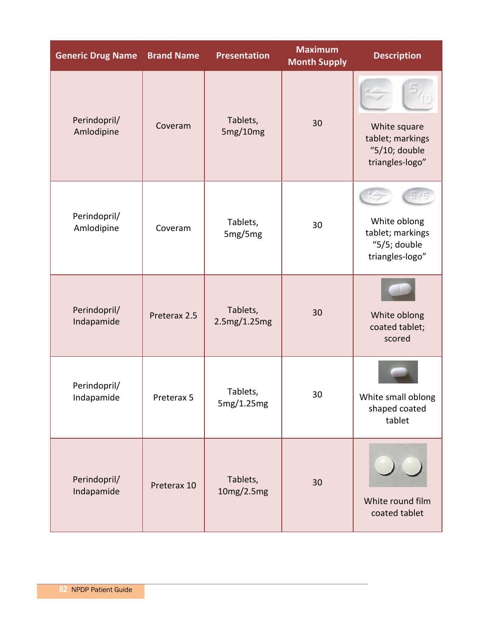| <b>Generic Drug Name</b>   | <b>Brand Name</b> | <b>Presentation</b>      | <b>Maximum</b><br><b>Month Supply</b> | <b>Description</b>                                                   |
|----------------------------|-------------------|--------------------------|---------------------------------------|----------------------------------------------------------------------|
| Perindopril/<br>Amlodipine | Coveram           | Tablets,<br>5mg/10mg     | 30                                    | White square<br>tablet; markings<br>"5/10; double<br>triangles-logo" |
| Perindopril/<br>Amlodipine | Coveram           | Tablets,<br>5mg/5mg      | 30                                    | White oblong<br>tablet; markings<br>"5/5; double<br>triangles-logo"  |
| Perindopril/<br>Indapamide | Preterax 2.5      | Tablets,<br>2.5mg/1.25mg | 30                                    | White oblong<br>coated tablet;<br>scored                             |
| Perindopril/<br>Indapamide | Preterax 5        | Tablets,<br>5mg/1.25mg   | 30                                    | White small oblong<br>shaped coated<br>tablet                        |
| Perindopril/<br>Indapamide | Preterax 10       | Tablets,<br>10mg/2.5mg   | 30                                    | White round film<br>coated tablet                                    |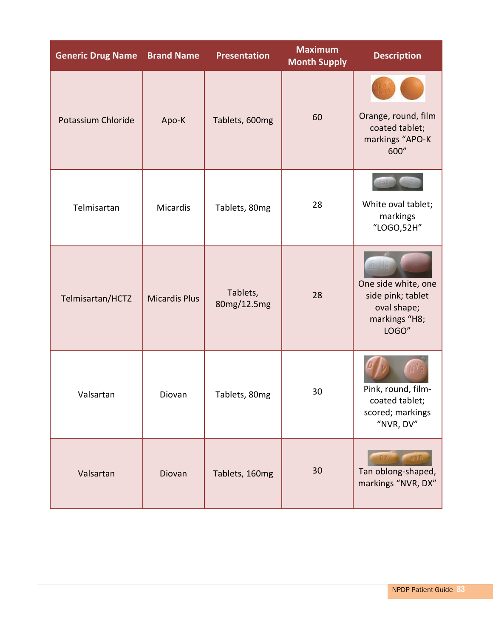| <b>Generic Drug Name</b>  | <b>Brand Name</b>    | <b>Presentation</b>     | <b>Maximum</b><br><b>Month Supply</b> | <b>Description</b>                                                                |
|---------------------------|----------------------|-------------------------|---------------------------------------|-----------------------------------------------------------------------------------|
| <b>Potassium Chloride</b> | Apo-K                | Tablets, 600mg          | 60                                    | Orange, round, film<br>coated tablet;<br>markings "APO-K<br>600"                  |
| Telmisartan               | Micardis             | Tablets, 80mg           | 28                                    | White oval tablet;<br>markings<br>"LOGO,52H"                                      |
| Telmisartan/HCTZ          | <b>Micardis Plus</b> | Tablets,<br>80mg/12.5mg | 28                                    | One side white, one<br>side pink; tablet<br>oval shape;<br>markings "H8;<br>LOGO" |
| Valsartan                 | Diovan               | Tablets, 80mg           | 30                                    | Pink, round, film-<br>coated tablet;<br>scored; markings<br>"NVR, DV"             |
| Valsartan                 | Diovan               | Tablets, 160mg          | 30                                    | Tan oblong-shaped,<br>markings "NVR, DX"                                          |